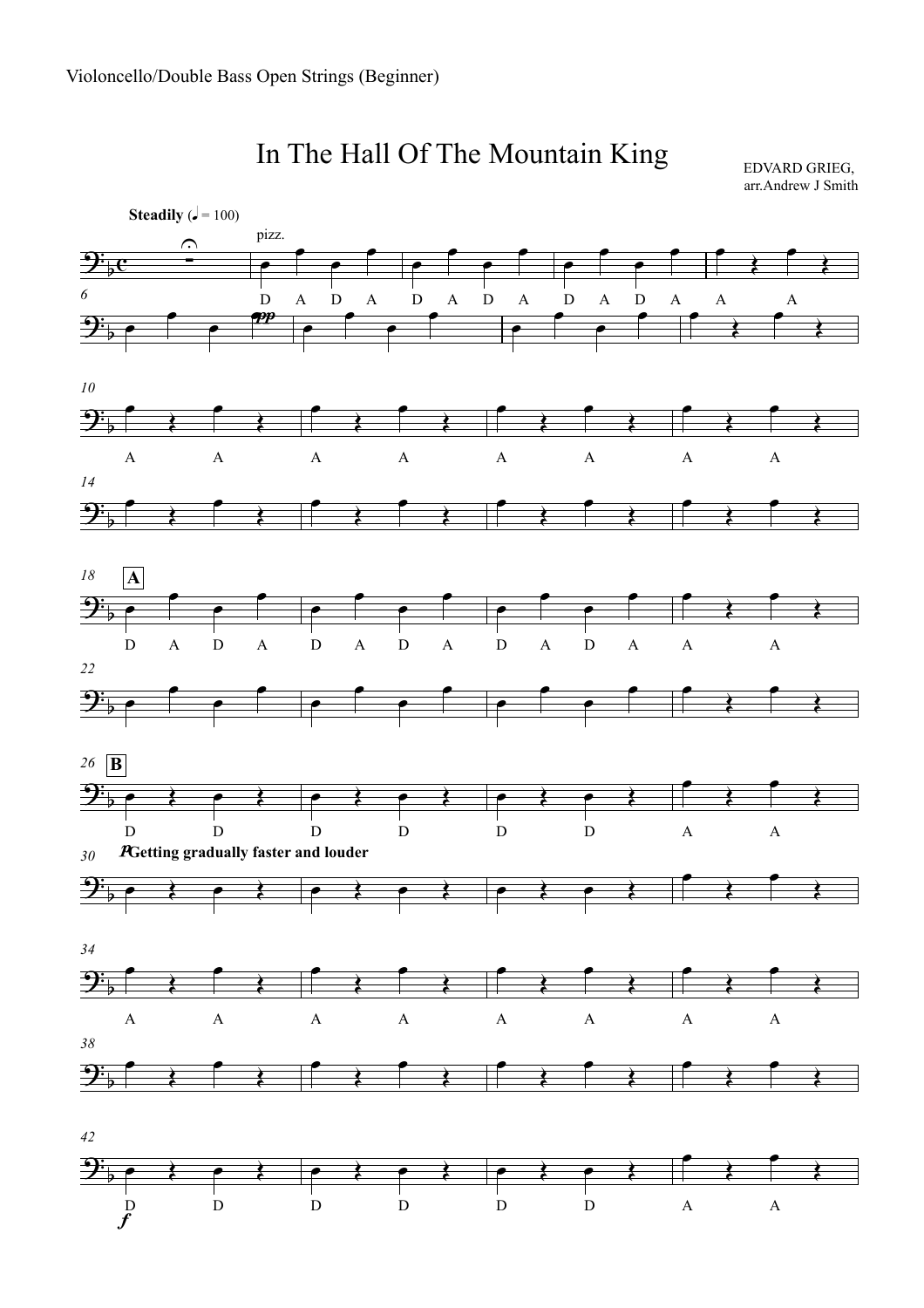

## In The Hall Of The Mountain King

EDVARD GRIEG, arr.Andrew J Smith